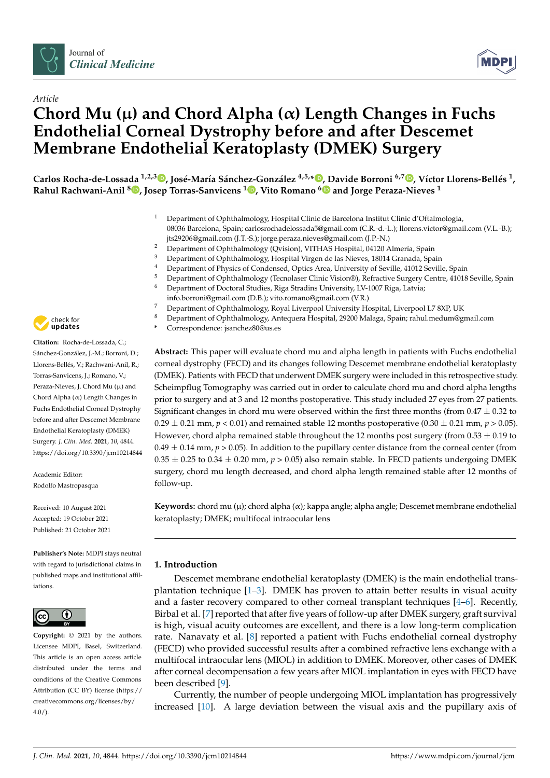



## *Article* **Chord Mu (**µ**) and Chord Alpha (**α**) Length Changes in Fuchs Endothelial Corneal Dystrophy before and after Descemet Membrane Endothelial Keratoplasty (DMEK) Surgery**

Carlos Rocha-de-Lossada <sup>1,2,[3](https://orcid.org/0000-0001-7464-2493)</sup>®[,](https://orcid.org/0000-0001-6952-5647) José-María Sánchez-González <sup>4,5,</sup>\*®, Davide Borroni <sup>6,7</sup>®, Víctor Llorens-Bellés <sup>1</sup>, **Rahul Rachwani-Anil <sup>8</sup> [,](https://orcid.org/0000-0001-5901-2469) Josep Torras-Sanvicens <sup>1</sup> [,](https://orcid.org/0000-0001-6995-1291) Vito Romano [6](https://orcid.org/0000-0002-5148-7643) and Jorge Peraza-Nieves <sup>1</sup>**

- <sup>1</sup> Department of Ophthalmology, Hospital Clinic de Barcelona Institut Clinic d'Oftalmologia, 08036 Barcelona, Spain; carlosrochadelossada5@gmail.com (C.R.-d.-L.); llorens.victor@gmail.com (V.L.-B.); jts29206@gmail.com (J.T.-S.); jorge.peraza.nieves@gmail.com (J.P.-N.)
- <sup>2</sup> Department of Ophthalmology (Qvision), VITHAS Hospital, 04120 Almería, Spain
- <sup>3</sup> Department of Ophthalmology, Hospital Virgen de las Nieves, 18014 Granada, Spain<br><sup>4</sup> Department of Physics of Condensed, Optics Area University of Sovilla 41012 Sovilla
- <sup>4</sup> Department of Physics of Condensed, Optics Area, University of Seville, 41012 Seville, Spain
- <sup>5</sup> Department of Ophthalmology (Tecnolaser Clinic Vision®), Refractive Surgery Centre, 41018 Seville, Spain<br><sup>6</sup> Department of Doctoral Studies, Riga Stradins University J.V.1007 Riga, Latvia:
- <sup>6</sup> Department of Doctoral Studies, Riga Stradins University, LV-1007 Riga, Latvia; info.borroni@gmail.com (D.B.); vito.romano@gmail.com (V.R.)
- 7 Department of Ophthalmology, Royal Liverpool University Hospital, Liverpool L7 8XP, UK<br>8 Department of Ophthalmology, Antosusxa Hospital, 20200 Malaga, Spain; rahul medum@ex
	- <sup>8</sup> Department of Ophthalmology, Antequera Hospital, 29200 Malaga, Spain; rahul.medum@gmail.com
	- **\*** Correspondence: jsanchez80@us.es

**Abstract:** This paper will evaluate chord mu and alpha length in patients with Fuchs endothelial corneal dystrophy (FECD) and its changes following Descemet membrane endothelial keratoplasty (DMEK). Patients with FECD that underwent DMEK surgery were included in this retrospective study. Scheimpflug Tomography was carried out in order to calculate chord mu and chord alpha lengths prior to surgery and at 3 and 12 months postoperative. This study included 27 eyes from 27 patients. Significant changes in chord mu were observed within the first three months (from  $0.47 \pm 0.32$  to  $0.29 \pm 0.21$  mm,  $p < 0.01$ ) and remained stable 12 months postoperative ( $0.30 \pm 0.21$  mm,  $p > 0.05$ ). However, chord alpha remained stable throughout the 12 months post surgery (from  $0.53 \pm 0.19$  to  $0.49 \pm 0.14$  mm,  $p > 0.05$ ). In addition to the pupillary center distance from the corneal center (from  $0.35 \pm 0.25$  to  $0.34 \pm 0.20$  mm,  $p > 0.05$ ) also remain stable. In FECD patients undergoing DMEK surgery, chord mu length decreased, and chord alpha length remained stable after 12 months of follow-up.

**Keywords:** chord mu (µ); chord alpha (α); kappa angle; alpha angle; Descemet membrane endothelial keratoplasty; DMEK; multifocal intraocular lens

## **1. Introduction**

Descemet membrane endothelial keratoplasty (DMEK) is the main endothelial transplantation technique [\[1–](#page-7-0)[3\]](#page-7-1). DMEK has proven to attain better results in visual acuity and a faster recovery compared to other corneal transplant techniques [\[4](#page-7-2)[–6\]](#page-7-3). Recently, Birbal et al. [\[7\]](#page-7-4) reported that after five years of follow-up after DMEK surgery, graft survival is high, visual acuity outcomes are excellent, and there is a low long-term complication rate. Nanavaty et al. [\[8\]](#page-7-5) reported a patient with Fuchs endothelial corneal dystrophy (FECD) who provided successful results after a combined refractive lens exchange with a multifocal intraocular lens (MIOL) in addition to DMEK. Moreover, other cases of DMEK after corneal decompensation a few years after MIOL implantation in eyes with FECD have been described [\[9\]](#page-7-6).

Currently, the number of people undergoing MIOL implantation has progressively increased [\[10\]](#page-7-7). A large deviation between the visual axis and the pupillary axis of



**Citation:** Rocha-de-Lossada, C.; Sánchez-González, J.-M.; Borroni, D.; Llorens-Bellés, V.; Rachwani-Anil, R.; Torras-Sanvicens, J.; Romano, V.; Peraza-Nieves, J. Chord Mu (µ) and Chord Alpha (α) Length Changes in Fuchs Endothelial Corneal Dystrophy before and after Descemet Membrane Endothelial Keratoplasty (DMEK) Surgery. *J. Clin. Med.* **2021**, *10*, 4844. <https://doi.org/10.3390/jcm10214844>

Academic Editor: Rodolfo Mastropasqua

Received: 10 August 2021 Accepted: 19 October 2021 Published: 21 October 2021

**Publisher's Note:** MDPI stays neutral with regard to jurisdictional claims in published maps and institutional affiliations.



**Copyright:** © 2021 by the authors. Licensee MDPI, Basel, Switzerland. This article is an open access article distributed under the terms and conditions of the Creative Commons Attribution (CC BY) license (https:/[/](https://creativecommons.org/licenses/by/4.0/) [creativecommons.org/licenses/by/](https://creativecommons.org/licenses/by/4.0/)  $4.0/$ ).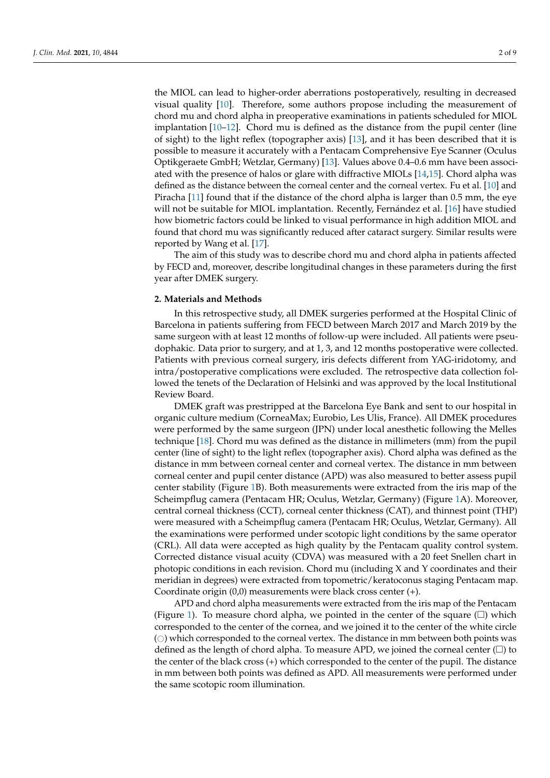the MIOL can lead to higher-order aberrations postoperatively, resulting in decreased visual quality [\[10\]](#page-7-7). Therefore, some authors propose including the measurement of chord mu and chord alpha in preoperative examinations in patients scheduled for MIOL implantation  $[10-12]$  $[10-12]$ . Chord mu is defined as the distance from the pupil center (line of sight) to the light reflex (topographer axis) [\[13\]](#page-7-9), and it has been described that it is possible to measure it accurately with a Pentacam Comprehensive Eye Scanner (Oculus Optikgeraete GmbH; Wetzlar, Germany) [\[13\]](#page-7-9). Values above 0.4–0.6 mm have been associated with the presence of halos or glare with diffractive MIOLs [\[14](#page-7-10)[,15\]](#page-7-11). Chord alpha was defined as the distance between the corneal center and the corneal vertex. Fu et al. [\[10\]](#page-7-7) and Piracha [\[11\]](#page-7-12) found that if the distance of the chord alpha is larger than 0.5 mm, the eye will not be suitable for MIOL implantation. Recently, Fernández et al. [\[16\]](#page-7-13) have studied how biometric factors could be linked to visual performance in high addition MIOL and found that chord mu was significantly reduced after cataract surgery. Similar results were reported by Wang et al. [\[17\]](#page-7-14).

The aim of this study was to describe chord mu and chord alpha in patients affected by FECD and, moreover, describe longitudinal changes in these parameters during the first year after DMEK surgery.

### **2. Materials and Methods**

In this retrospective study, all DMEK surgeries performed at the Hospital Clinic of Barcelona in patients suffering from FECD between March 2017 and March 2019 by the same surgeon with at least 12 months of follow-up were included. All patients were pseudophakic. Data prior to surgery, and at 1, 3, and 12 months postoperative were collected. Patients with previous corneal surgery, iris defects different from YAG-iridotomy, and intra/postoperative complications were excluded. The retrospective data collection followed the tenets of the Declaration of Helsinki and was approved by the local Institutional Review Board.

DMEK graft was prestripped at the Barcelona Eye Bank and sent to our hospital in organic culture medium (CorneaMax; Eurobio, Les Ulis, France). All DMEK procedures were performed by the same surgeon (JPN) under local anesthetic following the Melles technique [\[18\]](#page-7-15). Chord mu was defined as the distance in millimeters (mm) from the pupil center (line of sight) to the light reflex (topographer axis). Chord alpha was defined as the distance in mm between corneal center and corneal vertex. The distance in mm between corneal center and pupil center distance (APD) was also measured to better assess pupil center stability (Figure [1B](#page-2-0)). Both measurements were extracted from the iris map of the Scheimpflug camera (Pentacam HR; Oculus, Wetzlar, Germany) (Figure [1A](#page-2-0)). Moreover, central corneal thickness (CCT), corneal center thickness (CAT), and thinnest point (THP) were measured with a Scheimpflug camera (Pentacam HR; Oculus, Wetzlar, Germany). All the examinations were performed under scotopic light conditions by the same operator (CRL). All data were accepted as high quality by the Pentacam quality control system. Corrected distance visual acuity (CDVA) was measured with a 20 feet Snellen chart in photopic conditions in each revision. Chord mu (including X and Y coordinates and their meridian in degrees) were extracted from topometric/keratoconus staging Pentacam map. Coordinate origin (0,0) measurements were black cross center (+).

APD and chord alpha measurements were extracted from the iris map of the Pentacam (Figure [1\)](#page-2-0). To measure chord alpha, we pointed in the center of the square  $(\square)$  which corresponded to the center of the cornea, and we joined it to the center of the white circle  $(\bigcirc)$  which corresponded to the corneal vertex. The distance in mm between both points was defined as the length of chord alpha. To measure APD, we joined the corneal center  $(\square)$  to the center of the black cross (+) which corresponded to the center of the pupil. The distance in mm between both points was defined as APD. All measurements were performed under the same scotopic room illumination.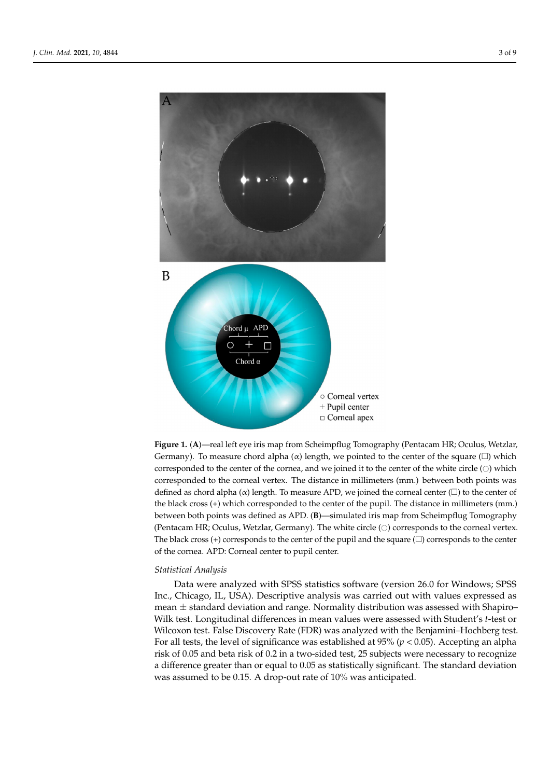<span id="page-2-0"></span>

**Figure 1. A**—real left eye iris map from Scheimpflug Tomography (Pentacam HR; Oculus, Wetzlar, **Figure 1.** (**A**)—real left eye iris map from Scheimpflug Tomography (Pentacam HR; Oculus, Wetzlar, Germany). To measure chord alpha ( $\alpha$ ) length, we pointed to the center of the square ( $\square$ ) which corresponded to the center of the cornea, and we joined it to the center of the white circle ( $\odot$ ) which corresponded to the corneal vertex. The distance in millimeters (mm.) between both points was deforesponded to the corneal vertex. The distance in millimeters (mm.) between both points was  $\overline{C}$ defined as chord alpha ( $\alpha$ ) length. To measure APD, we joined the corneal center ( $\Box$ ) to the center of the black cross (+) which corresponded to the center of the pupil. The distance in millimeters (mm.) between both points was defined as APD. (**B**)—simulated iris map from Scheimpflug Tomography (Pentacam HR; Oculus, Wetzlar, Germany). The white circle ( $\odot$ ) corresponds to the corneal vertex. The black cross  $(+)$  corresponds to the center of the pupil and the square  $(\Box)$  corresponds to the center of the cornea. APD: Corneal center to pupil center.

#### *Statistical Analysis*

Data were analyzed with SPSS statistics software (version 26.0 for Windows; SPSS Data were analyzed with SPSS statistics software (version 26.0 for Windows; SPSS Inc., Chicago, IL, USA). Descriptive analysis was carried out with values expressed as mean  $\pm$  standard deviation and range. Normality distribution was assessed with Shapiro– Wilk test. Longitudinal differences in mean values were assessed with Student's *t*-test or Wilcoxon test. False Discovery Rate (FDR) was analyzed with the Benjamini–Hochberg test.<br>The 2005 of the Benjamini–Hochberg test. For all tests, the level of significance was established at 95% ( $p < 0.05$ ). Accepting an alpha risk of 0.05 and beta risk of 0.2 in a two-sided test, 25 subjects were necessary to recognize a difference greater than or equal to  $0.05$  as statistically significant. The standard deviation was assumed to be 0.15. A drop-out rate of 10% was anticipated.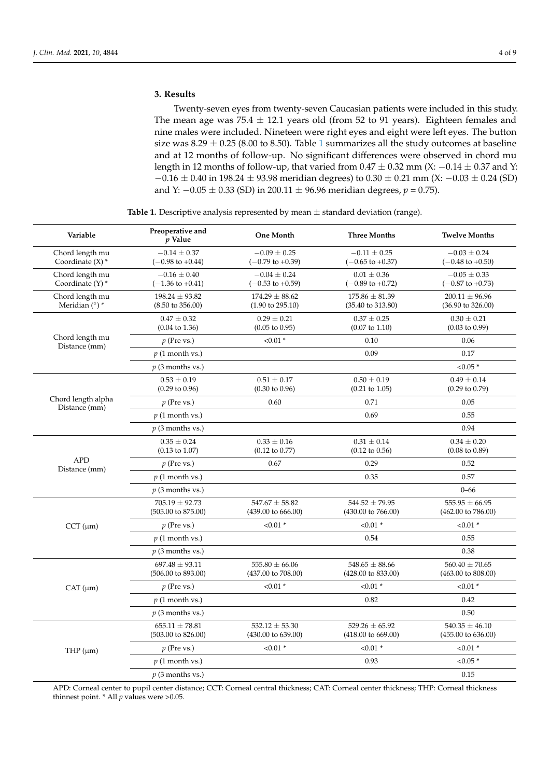Twenty-seven eyes from twenty-seven Caucasian patients were included in this study. The mean age was  $75.4 \pm 12.1$  years old (from 52 to 91 years). Eighteen females and nine males were included. Nineteen were right eyes and eight were left eyes. The button size was  $8.29 \pm 0.25$  (8.00 to 8.50). Table [1](#page-3-0) summarizes all the study outcomes at baseline and at 12 months of follow-up. No significant differences were observed in chord mu length in 12 months of follow-up, that varied from  $0.47 \pm 0.32$  mm (X:  $-0.14 \pm 0.37$  and Y:  $-0.16 \pm 0.40$  in 198.24  $\pm$  93.98 meridian degrees) to  $0.30 \pm 0.21$  mm (X:  $-0.03 \pm 0.24$  (SD) and Y: −0.05 ± 0.33 (SD) in 200.11 ± 96.96 meridian degrees, *p* = 0.75).

<span id="page-3-0"></span>

| Variable                              | Preoperative and<br>$p$ Value                       | <b>One Month</b>                                    | <b>Three Months</b>                                 | <b>Twelve Months</b>                                |
|---------------------------------------|-----------------------------------------------------|-----------------------------------------------------|-----------------------------------------------------|-----------------------------------------------------|
| Chord length mu<br>Coordinate $(X)$ * | $-0.14 \pm 0.37$<br>$(-0.98 \text{ to } +0.44)$     | $-0.09 \pm 0.25$<br>$(-0.79 \text{ to } +0.39)$     | $-0.11 \pm 0.25$<br>$(-0.65 \text{ to } +0.37)$     | $-0.03 \pm 0.24$<br>$(-0.48 \text{ to } +0.50)$     |
| Chord length mu<br>Coordinate (Y) *   | $-0.16 \pm 0.40$<br>$(-1.36 \text{ to } +0.41)$     | $-0.04 \pm 0.24$<br>$(-0.53 \text{ to } +0.59)$     | $0.01 \pm 0.36$<br>$(-0.89 \text{ to } +0.72)$      | $-0.05 \pm 0.33$<br>$(-0.87 \text{ to } +0.73)$     |
| Chord length mu<br>Meridian $(°)$ *   | $198.24 \pm 93.82$<br>$(8.50 \text{ to } 356.00)$   | $174.29 \pm 88.62$<br>$(1.90 \text{ to } 295.10)$   | $175.86 \pm 81.39$<br>$(35.40 \text{ to } 313.80)$  | $200.11 \pm 96.96$<br>$(36.90 \text{ to } 326.00)$  |
| Chord length mu<br>Distance (mm)      | $0.47 \pm 0.32$<br>$(0.04 \text{ to } 1.36)$        | $0.29 \pm 0.21$<br>$(0.05 \text{ to } 0.95)$        | $0.37 \pm 0.25$<br>$(0.07 \text{ to } 1.10)$        | $0.30 \pm 0.21$<br>$(0.03 \text{ to } 0.99)$        |
|                                       | $p$ (Pre vs.)                                       | $< 0.01$ *                                          | 0.10                                                | 0.06                                                |
|                                       | $p(1$ month vs.)                                    |                                                     | 0.09                                                | 0.17                                                |
|                                       | $p$ (3 months vs.)                                  |                                                     |                                                     | ${<}0.05*$                                          |
| Chord length alpha<br>Distance (mm)   | $0.53 \pm 0.19$<br>$(0.29 \text{ to } 0.96)$        | $0.51 \pm 0.17$<br>$(0.30 \text{ to } 0.96)$        | $0.50 \pm 0.19$<br>$(0.21 \text{ to } 1.05)$        | $0.49 \pm 0.14$<br>$(0.29 \text{ to } 0.79)$        |
|                                       | $p$ (Pre vs.)                                       | 0.60                                                | 0.71                                                | 0.05                                                |
|                                       | $p(1$ month vs.)                                    |                                                     | 0.69                                                | 0.55                                                |
|                                       | $p(3$ months vs.)                                   |                                                     |                                                     | 0.94                                                |
| <b>APD</b><br>Distance (mm)           | $0.35 \pm 0.24$<br>$(0.13 \text{ to } 1.07)$        | $0.33 \pm 0.16$<br>$(0.12 \text{ to } 0.77)$        | $0.31 \pm 0.14$<br>$(0.12 \text{ to } 0.56)$        | $0.34 \pm 0.20$<br>$(0.08 \text{ to } 0.89)$        |
|                                       | $p$ (Pre vs.)                                       | 0.67                                                | 0.29                                                | 0.52                                                |
|                                       | $p(1$ month vs.)                                    |                                                     | 0.35                                                | 0.57                                                |
|                                       | $p(3$ months vs.)                                   |                                                     |                                                     | $0 - 66$                                            |
| $CCT$ ( $\mu$ m)                      | $705.19 \pm 92.73$<br>$(505.00 \text{ to } 875.00)$ | $547.67 \pm 58.82$<br>$(439.00 \text{ to } 666.00)$ | $544.52 \pm 79.95$<br>$(430.00 \text{ to } 766.00)$ | $555.95 \pm 66.95$<br>$(462.00 \text{ to } 786.00)$ |
|                                       | $p$ (Pre vs.)                                       | $< 0.01$ *                                          | $< 0.01$ *                                          | $< 0.01$ *                                          |
|                                       | $p(1$ month vs.)                                    |                                                     | 0.54                                                | 0.55                                                |
|                                       | $p$ (3 months vs.)                                  |                                                     |                                                     | 0.38                                                |
| CAT (µm)                              | $697.48 \pm 93.11$<br>$(506.00 \text{ to } 893.00)$ | $555.80 \pm 66.06$<br>(437.00 to 708.00)            | $548.65 \pm 88.66$<br>$(428.00 \text{ to } 833.00)$ | $560.40 \pm 70.65$<br>$(463.00 \text{ to } 808.00)$ |
|                                       | $p$ (Pre vs.)                                       | $< 0.01$ *                                          | $< 0.01$ *                                          | $< 0.01$ *                                          |
|                                       | $p(1$ month vs.)                                    |                                                     | 0.82                                                | 0.42                                                |
|                                       | $p$ (3 months vs.)                                  |                                                     |                                                     | 0.50                                                |
| THP $(\mu m)$                         | $655.11 \pm 78.81$<br>$(503.00 \text{ to } 826.00)$ | $532.12 \pm 53.30$<br>$(430.00 \text{ to } 639.00)$ | 529.26 $\pm$ 65.92<br>$(418.00 \text{ to } 669.00)$ | $540.35 \pm 46.10$<br>$(455.00 \text{ to } 636.00)$ |
|                                       | $p$ (Pre vs.)                                       | $< 0.01$ *                                          | $<0.01$ $^{\ast}$                                   | ${<}0.01$ $^*$                                      |
|                                       | $p(1$ month vs.)                                    |                                                     | 0.93                                                | ${<}0.05*$                                          |
|                                       | $p$ (3 months vs.)                                  |                                                     |                                                     | 0.15                                                |

**Table 1.** Descriptive analysis represented by mean  $\pm$  standard deviation (range).

APD: Corneal center to pupil center distance; CCT: Corneal central thickness; CAT: Corneal center thickness; THP: Corneal thickness thinnest point. \* All *p* values were >0.05.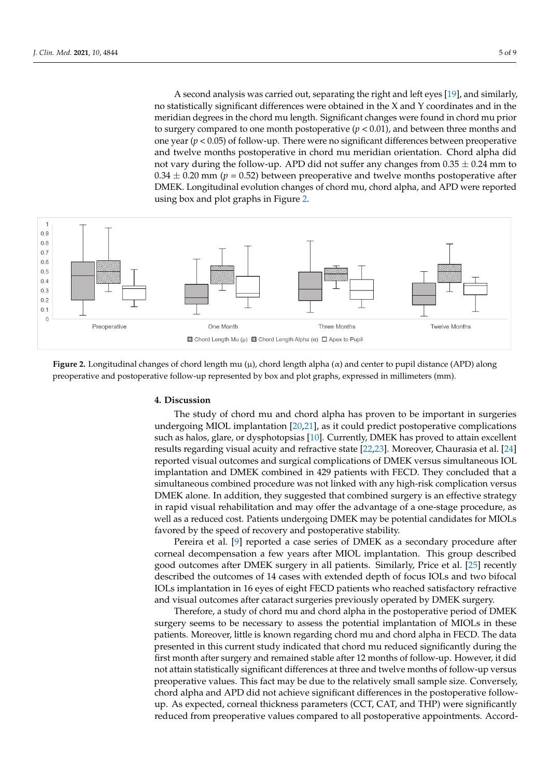${\sf A}$  second analysis was carried out, separating the right and left eyes [\[19\]](#page-7-16), and similarly, no statistically significant differences were obtained in the X and Y coordinates and in the  $\,$ meridian degrees in the chord mu length. Significant changes were found in chord mu prior to surgery compared to one month postoperative ( $p < 0.01$ ), and between three months and one year ( $p < 0.05$ ) of follow-up. There were no significant differences between preoperative and twelve months postoperative in chord mu meridian orientation. Chord alpha did not vary during the follow-up. APD did not suffer any changes from  $0.35 \pm 0.24$  mm to  $0.34 \pm 0.20$  mm ( $p = 0.52$ ) between preoperative and twelve months postoperative after DMEK. Longitudinal evolution changes of chord mu, chord alpha, and APD were reported using box and plot graphs [in](#page-4-0) Figure 2.

<span id="page-4-0"></span>

Figure 2. Longitudinal changes of chord length mu ( $\mu$ ), chord length alpha ( $\alpha$ ) and center to pupil distance (APD) along preoperative and postoperative follow-up represented by box and plot graphs, expressed in millimeters (mm). preoperative and postoperative follow-up represented by box and plot graphs, expressed in millimeters (mm).

# **4. Discussion 4. Discussion**

The study of chord mu and chord alpha has proven to be important in surgeries un-The study of chord mu and chord alpha has proven to be important in surgeries undergoing MIOL implantation [\[20](#page-7-17)[,21\]](#page-7-18), as it could predict postoperative complications<br>undergoing MIOL implantation [20,21], as it could predict postoperative complications such as halos, glare, or dysphotopsias [\[10\]](#page-7-7). Currently, DMEK has proved to attain excellent results regarding visual acuity and refractive state [\[22,](#page-7-19)[23\]](#page-7-20). Moreover, Chaurasia et al. [\[24\]](#page-7-21)<br>COL 2014 reported visual outcomes and surgical complications of DMEK versus simultaneous IOL<br>concluded that a patient with a concluded that a property with the angle of the late of the late of the late o implantation and DMEK combined in 429 patients with FECD. They concluded that a simultaneous combined procedure was not linked with any high-risk complication versus<br>Defects DMEK alone. In addition, they suggested that combined surgery is an effective strategy in rapid visual rehabilitation and may offer the advantage of a one-stage procedure, as well as a reduced cost. Patients undergoing DMEK may be potential candidates for MIOLs<br>. favored by the speed of recovery and postoperative stability.<br>  $\sum_{n=1}^{\infty}$ 

Pereira et al. [\[9\]](#page-7-6) reported a case series of DMEK as a secondary procedure after corneal decompensation a few years after MIOL implantation. This group described  $\frac{1}{2}$ good outcomes after DMEK surgery in all patients. Similarly, Price et al. [\[25\]](#page-7-22) recently described the outcomes of 14 cases with extended depth of focus IOLs and two bifocal<br>IOL IOLs implantation in 16 eyes of eight FECD patients who reached satisfactory refractive and visual outcomes after cataract surgeries previously operated by DMEK surgery.<br>
The contract of DMEN surgery.

Therefore, a study of chord mu and chord alpha in the postoperative period of DMEK surgery seems to be necessary to assess the potential implantation of MIOLs in these patients. Moreover, little is known regarding chord mu and chord alpha in FECD. The data presented in this current study indicated that chord mu reduced significantly during the<br>contract in this current study indicated that chord mu reduced significantly during the first month after surgery and remained stable after 12 months of follow-up. However, it did not attain statistically significant differences at three and twelve months of follow-up versus<br>
This factory of the conpreoperative values. This fact may be due to the relatively small sample size. Conversely,<br> chord alpha and APD did not achieve significant differences in the postoperative follow-<br>chord alpha and APD did not achieve significant differences in the postoperative followup. As expected, corneal thickness parameters (CCT, CAT, and THP) were significantly reduced from preoperative values compared to all postoperative appointments. Accord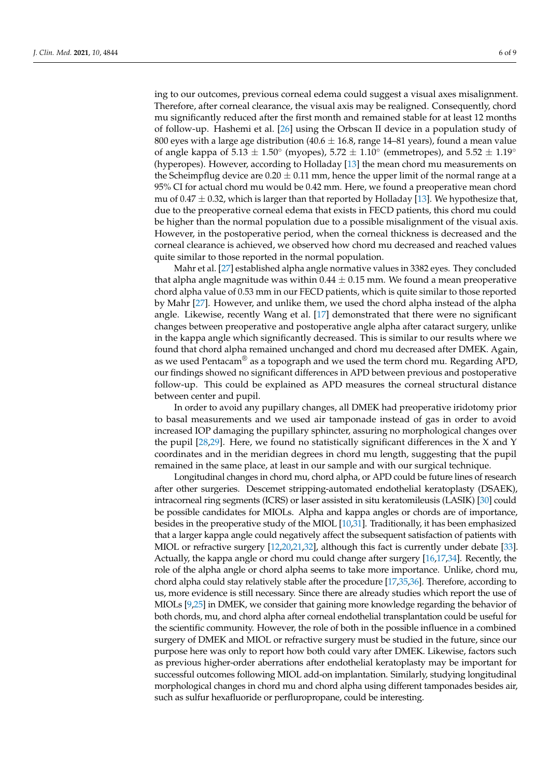ing to our outcomes, previous corneal edema could suggest a visual axes misalignment. Therefore, after corneal clearance, the visual axis may be realigned. Consequently, chord mu significantly reduced after the first month and remained stable for at least 12 months of follow-up. Hashemi et al. [\[26\]](#page-8-0) using the Orbscan II device in a population study of 800 eyes with a large age distribution (40.6  $\pm$  16.8, range 14–81 years), found a mean value of angle kappa of  $5.13 \pm 1.50^{\circ}$  (myopes),  $5.72 \pm 1.10^{\circ}$  (emmetropes), and  $5.52 \pm 1.19^{\circ}$ (hyperopes). However, according to Holladay [\[13\]](#page-7-9) the mean chord mu measurements on the Scheimpflug device are  $0.20 \pm 0.11$  mm, hence the upper limit of the normal range at a 95% CI for actual chord mu would be 0.42 mm. Here, we found a preoperative mean chord mu of 0.47  $\pm$  0.32, which is larger than that reported by Holladay [\[13\]](#page-7-9). We hypothesize that, due to the preoperative corneal edema that exists in FECD patients, this chord mu could be higher than the normal population due to a possible misalignment of the visual axis. However, in the postoperative period, when the corneal thickness is decreased and the corneal clearance is achieved, we observed how chord mu decreased and reached values quite similar to those reported in the normal population.

Mahr et al. [\[27\]](#page-8-1) established alpha angle normative values in 3382 eyes. They concluded that alpha angle magnitude was within  $0.44 \pm 0.15$  mm. We found a mean preoperative chord alpha value of 0.53 mm in our FECD patients, which is quite similar to those reported by Mahr [\[27\]](#page-8-1). However, and unlike them, we used the chord alpha instead of the alpha angle. Likewise, recently Wang et al. [\[17\]](#page-7-14) demonstrated that there were no significant changes between preoperative and postoperative angle alpha after cataract surgery, unlike in the kappa angle which significantly decreased. This is similar to our results where we found that chord alpha remained unchanged and chord mu decreased after DMEK. Again, as we used Pentacam<sup>®</sup> as a topograph and we used the term chord mu. Regarding APD, our findings showed no significant differences in APD between previous and postoperative follow-up. This could be explained as APD measures the corneal structural distance between center and pupil.

In order to avoid any pupillary changes, all DMEK had preoperative iridotomy prior to basal measurements and we used air tamponade instead of gas in order to avoid increased IOP damaging the pupillary sphincter, assuring no morphological changes over the pupil [\[28,](#page-8-2)[29\]](#page-8-3). Here, we found no statistically significant differences in the X and Y coordinates and in the meridian degrees in chord mu length, suggesting that the pupil remained in the same place, at least in our sample and with our surgical technique.

Longitudinal changes in chord mu, chord alpha, or APD could be future lines of research after other surgeries. Descemet stripping-automated endothelial keratoplasty (DSAEK), intracorneal ring segments (ICRS) or laser assisted in situ keratomileusis (LASIK) [\[30\]](#page-8-4) could be possible candidates for MIOLs. Alpha and kappa angles or chords are of importance, besides in the preoperative study of the MIOL [\[10](#page-7-7)[,31\]](#page-8-5). Traditionally, it has been emphasized that a larger kappa angle could negatively affect the subsequent satisfaction of patients with MIOL or refractive surgery [\[12](#page-7-8)[,20](#page-7-17)[,21](#page-7-18)[,32\]](#page-8-6), although this fact is currently under debate [\[33\]](#page-8-7). Actually, the kappa angle or chord mu could change after surgery [\[16,](#page-7-13)[17,](#page-7-14)[34\]](#page-8-8). Recently, the role of the alpha angle or chord alpha seems to take more importance. Unlike, chord mu, chord alpha could stay relatively stable after the procedure [\[17,](#page-7-14)[35,](#page-8-9)[36\]](#page-8-10). Therefore, according to us, more evidence is still necessary. Since there are already studies which report the use of MIOLs [\[9,](#page-7-6)[25\]](#page-7-22) in DMEK, we consider that gaining more knowledge regarding the behavior of both chords, mu, and chord alpha after corneal endothelial transplantation could be useful for the scientific community. However, the role of both in the possible influence in a combined surgery of DMEK and MIOL or refractive surgery must be studied in the future, since our purpose here was only to report how both could vary after DMEK. Likewise, factors such as previous higher-order aberrations after endothelial keratoplasty may be important for successful outcomes following MIOL add-on implantation. Similarly, studying longitudinal morphological changes in chord mu and chord alpha using different tamponades besides air, such as sulfur hexafluoride or perfluropropane, could be interesting.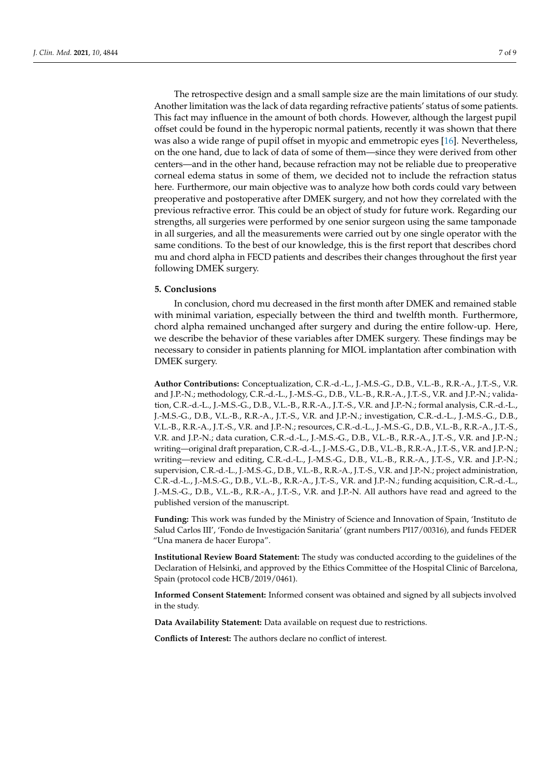The retrospective design and a small sample size are the main limitations of our study. Another limitation was the lack of data regarding refractive patients' status of some patients. This fact may influence in the amount of both chords. However, although the largest pupil offset could be found in the hyperopic normal patients, recently it was shown that there was also a wide range of pupil offset in myopic and emmetropic eyes [\[16\]](#page-7-13). Nevertheless, on the one hand, due to lack of data of some of them—since they were derived from other centers—and in the other hand, because refraction may not be reliable due to preoperative corneal edema status in some of them, we decided not to include the refraction status here. Furthermore, our main objective was to analyze how both cords could vary between preoperative and postoperative after DMEK surgery, and not how they correlated with the previous refractive error. This could be an object of study for future work. Regarding our strengths, all surgeries were performed by one senior surgeon using the same tamponade in all surgeries, and all the measurements were carried out by one single operator with the same conditions. To the best of our knowledge, this is the first report that describes chord mu and chord alpha in FECD patients and describes their changes throughout the first year following DMEK surgery.

#### **5. Conclusions**

In conclusion, chord mu decreased in the first month after DMEK and remained stable with minimal variation, especially between the third and twelfth month. Furthermore, chord alpha remained unchanged after surgery and during the entire follow-up. Here, we describe the behavior of these variables after DMEK surgery. These findings may be necessary to consider in patients planning for MIOL implantation after combination with DMEK surgery.

**Author Contributions:** Conceptualization, C.R.-d.-L., J.-M.S.-G., D.B., V.L.-B., R.R.-A., J.T.-S., V.R. and J.P.-N.; methodology, C.R.-d.-L., J.-M.S.-G., D.B., V.L.-B., R.R.-A., J.T.-S., V.R. and J.P.-N.; validation, C.R.-d.-L., J.-M.S.-G., D.B., V.L.-B., R.R.-A., J.T.-S., V.R. and J.P.-N.; formal analysis, C.R.-d.-L., J.-M.S.-G., D.B., V.L.-B., R.R.-A., J.T.-S., V.R. and J.P.-N.; investigation, C.R.-d.-L., J.-M.S.-G., D.B., V.L.-B., R.R.-A., J.T.-S., V.R. and J.P.-N.; resources, C.R.-d.-L., J.-M.S.-G., D.B., V.L.-B., R.R.-A., J.T.-S., V.R. and J.P.-N.; data curation, C.R.-d.-L., J.-M.S.-G., D.B., V.L.-B., R.R.-A., J.T.-S., V.R. and J.P.-N.; writing—original draft preparation, C.R.-d.-L., J.-M.S.-G., D.B., V.L.-B., R.R.-A., J.T.-S., V.R. and J.P.-N.; writing—review and editing, C.R.-d.-L., J.-M.S.-G., D.B., V.L.-B., R.R.-A., J.T.-S., V.R. and J.P.-N.; supervision, C.R.-d.-L., J.-M.S.-G., D.B., V.L.-B., R.R.-A., J.T.-S., V.R. and J.P.-N.; project administration, C.R.-d.-L., J.-M.S.-G., D.B., V.L.-B., R.R.-A., J.T.-S., V.R. and J.P.-N.; funding acquisition, C.R.-d.-L., J.-M.S.-G., D.B., V.L.-B., R.R.-A., J.T.-S., V.R. and J.P.-N. All authors have read and agreed to the published version of the manuscript.

**Funding:** This work was funded by the Ministry of Science and Innovation of Spain, 'Instituto de Salud Carlos III', 'Fondo de Investigación Sanitaria' (grant numbers PI17/00316), and funds FEDER "Una manera de hacer Europa".

**Institutional Review Board Statement:** The study was conducted according to the guidelines of the Declaration of Helsinki, and approved by the Ethics Committee of the Hospital Clinic of Barcelona, Spain (protocol code HCB/2019/0461).

**Informed Consent Statement:** Informed consent was obtained and signed by all subjects involved in the study.

**Data Availability Statement:** Data available on request due to restrictions.

**Conflicts of Interest:** The authors declare no conflict of interest.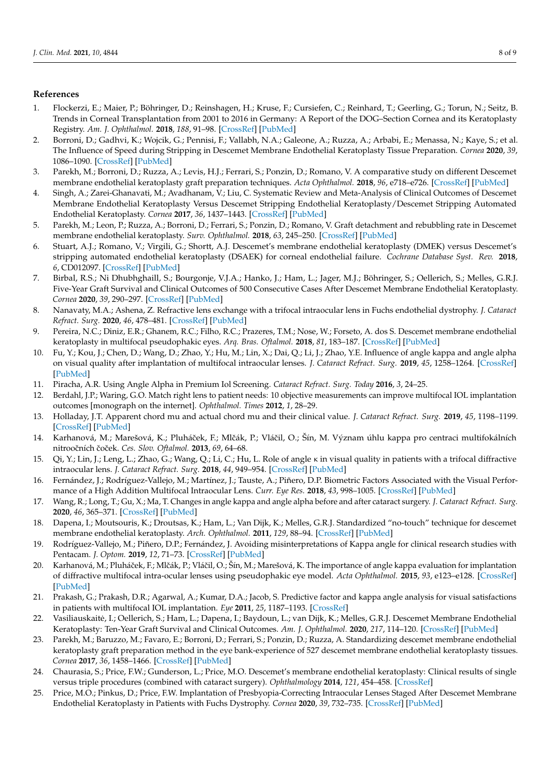### **References**

- <span id="page-7-0"></span>1. Flockerzi, E.; Maier, P.; Böhringer, D.; Reinshagen, H.; Kruse, F.; Cursiefen, C.; Reinhard, T.; Geerling, G.; Torun, N.; Seitz, B. Trends in Corneal Transplantation from 2001 to 2016 in Germany: A Report of the DOG–Section Cornea and its Keratoplasty Registry. *Am. J. Ophthalmol.* **2018**, *188*, 91–98. [\[CrossRef\]](http://doi.org/10.1016/j.ajo.2018.01.018) [\[PubMed\]](http://www.ncbi.nlm.nih.gov/pubmed/29410297)
- 2. Borroni, D.; Gadhvi, K.; Wojcik, G.; Pennisi, F.; Vallabh, N.A.; Galeone, A.; Ruzza, A.; Arbabi, E.; Menassa, N.; Kaye, S.; et al. The Influence of Speed during Stripping in Descemet Membrane Endothelial Keratoplasty Tissue Preparation. *Cornea* **2020**, *39*, 1086–1090. [\[CrossRef\]](http://doi.org/10.1097/ICO.0000000000002338) [\[PubMed\]](http://www.ncbi.nlm.nih.gov/pubmed/32301812)
- <span id="page-7-1"></span>3. Parekh, M.; Borroni, D.; Ruzza, A.; Levis, H.J.; Ferrari, S.; Ponzin, D.; Romano, V. A comparative study on different Descemet membrane endothelial keratoplasty graft preparation techniques. *Acta Ophthalmol.* **2018**, *96*, e718–e726. [\[CrossRef\]](http://doi.org/10.1111/aos.13746) [\[PubMed\]](http://www.ncbi.nlm.nih.gov/pubmed/29520992)
- <span id="page-7-2"></span>4. Singh, A.; Zarei-Ghanavati, M.; Avadhanam, V.; Liu, C. Systematic Review and Meta-Analysis of Clinical Outcomes of Descemet Membrane Endothelial Keratoplasty Versus Descemet Stripping Endothelial Keratoplasty/Descemet Stripping Automated Endothelial Keratoplasty. *Cornea* **2017**, *36*, 1437–1443. [\[CrossRef\]](http://doi.org/10.1097/ICO.0000000000001320) [\[PubMed\]](http://www.ncbi.nlm.nih.gov/pubmed/28834814)
- 5. Parekh, M.; Leon, P.; Ruzza, A.; Borroni, D.; Ferrari, S.; Ponzin, D.; Romano, V. Graft detachment and rebubbling rate in Descemet membrane endothelial keratoplasty. *Surv. Ophthalmol.* **2018**, *63*, 245–250. [\[CrossRef\]](http://doi.org/10.1016/j.survophthal.2017.07.003) [\[PubMed\]](http://www.ncbi.nlm.nih.gov/pubmed/28739402)
- <span id="page-7-3"></span>6. Stuart, A.J.; Romano, V.; Virgili, G.; Shortt, A.J. Descemet's membrane endothelial keratoplasty (DMEK) versus Descemet's stripping automated endothelial keratoplasty (DSAEK) for corneal endothelial failure. *Cochrane Database Syst. Rev.* **2018**, *6*, CD012097. [\[CrossRef\]](http://doi.org/10.1002/14651858.CD012097.pub2) [\[PubMed\]](http://www.ncbi.nlm.nih.gov/pubmed/29940078)
- <span id="page-7-4"></span>7. Birbal, R.S.; Ni Dhubhghaill, S.; Bourgonje, V.J.A.; Hanko, J.; Ham, L.; Jager, M.J.; Böhringer, S.; Oellerich, S.; Melles, G.R.J. Five-Year Graft Survival and Clinical Outcomes of 500 Consecutive Cases After Descemet Membrane Endothelial Keratoplasty. *Cornea* **2020**, *39*, 290–297. [\[CrossRef\]](http://doi.org/10.1097/ICO.0000000000002120) [\[PubMed\]](http://www.ncbi.nlm.nih.gov/pubmed/31478948)
- <span id="page-7-5"></span>8. Nanavaty, M.A.; Ashena, Z. Refractive lens exchange with a trifocal intraocular lens in Fuchs endothelial dystrophy. *J. Cataract Refract. Surg.* **2020**, *46*, 478–481. [\[CrossRef\]](http://doi.org/10.1097/j.jcrs.0000000000000104) [\[PubMed\]](http://www.ncbi.nlm.nih.gov/pubmed/32050211)
- <span id="page-7-6"></span>9. Pereira, N.C.; Diniz, E.R.; Ghanem, R.C.; Filho, R.C.; Prazeres, T.M.; Nose, W.; Forseto, A. dos S. Descemet membrane endothelial keratoplasty in multifocal pseudophakic eyes. *Arq. Bras. Oftalmol.* **2018**, *81*, 183–187. [\[CrossRef\]](http://doi.org/10.5935/0004-2749.20180039) [\[PubMed\]](http://www.ncbi.nlm.nih.gov/pubmed/29924204)
- <span id="page-7-7"></span>10. Fu, Y.; Kou, J.; Chen, D.; Wang, D.; Zhao, Y.; Hu, M.; Lin, X.; Dai, Q.; Li, J.; Zhao, Y.E. Influence of angle kappa and angle alpha on visual quality after implantation of multifocal intraocular lenses. *J. Cataract Refract. Surg.* **2019**, *45*, 1258–1264. [\[CrossRef\]](http://doi.org/10.1016/j.jcrs.2019.04.003) [\[PubMed\]](http://www.ncbi.nlm.nih.gov/pubmed/31326223)
- <span id="page-7-12"></span>11. Piracha, A.R. Using Angle Alpha in Premium Iol Screening. *Cataract Refract. Surg. Today* **2016**, *3*, 24–25.
- <span id="page-7-8"></span>12. Berdahl, J.P.; Waring, G.O. Match right lens to patient needs: 10 objective measurements can improve multifocal IOL implantation outcomes [monograph on the internet]. *Ophthalmol. Times* **2012**, *1*, 28–29.
- <span id="page-7-9"></span>13. Holladay, J.T. Apparent chord mu and actual chord mu and their clinical value. *J. Cataract Refract. Surg.* **2019**, *45*, 1198–1199. [\[CrossRef\]](http://doi.org/10.1016/j.jcrs.2019.03.029) [\[PubMed\]](http://www.ncbi.nlm.nih.gov/pubmed/31371009)
- <span id="page-7-10"></span>14. Karhanová, M.; Marešová, K.; Pluháček, F.; Mlčák, P.; Vláčil, O.; Šín, M. Význam úhlu kappa pro centraci multifokálních nitrooˇcních ˇcoˇcek. *Ces. Slov. Oftalmol.* **2013**, *69*, 64–68.
- <span id="page-7-11"></span>15. Qi, Y.; Lin, J.; Leng, L.; Zhao, G.; Wang, Q.; Li, C.; Hu, L. Role of angle κ in visual quality in patients with a trifocal diffractive intraocular lens. *J. Cataract Refract. Surg.* **2018**, *44*, 949–954. [\[CrossRef\]](http://doi.org/10.1016/j.jcrs.2018.05.026) [\[PubMed\]](http://www.ncbi.nlm.nih.gov/pubmed/30033112)
- <span id="page-7-13"></span>16. Fernández, J.; Rodríguez-Vallejo, M.; Martínez, J.; Tauste, A.; Piñero, D.P. Biometric Factors Associated with the Visual Performance of a High Addition Multifocal Intraocular Lens. *Curr. Eye Res.* **2018**, *43*, 998–1005. [\[CrossRef\]](http://doi.org/10.1080/02713683.2018.1478981) [\[PubMed\]](http://www.ncbi.nlm.nih.gov/pubmed/29776319)
- <span id="page-7-14"></span>17. Wang, R.; Long, T.; Gu, X.; Ma, T. Changes in angle kappa and angle alpha before and after cataract surgery. *J. Cataract Refract. Surg.* **2020**, *46*, 365–371. [\[CrossRef\]](http://doi.org/10.1097/j.jcrs.0000000000000063) [\[PubMed\]](http://www.ncbi.nlm.nih.gov/pubmed/32050219)
- <span id="page-7-15"></span>18. Dapena, I.; Moutsouris, K.; Droutsas, K.; Ham, L.; Van Dijk, K.; Melles, G.R.J. Standardized "no-touch" technique for descemet membrane endothelial keratoplasty. *Arch. Ophthalmol.* **2011**, *129*, 88–94. [\[CrossRef\]](http://doi.org/10.1001/archophthalmol.2010.334) [\[PubMed\]](http://www.ncbi.nlm.nih.gov/pubmed/21220634)
- <span id="page-7-16"></span>19. Rodríguez-Vallejo, M.; Piñero, D.P.; Fernández, J. Avoiding misinterpretations of Kappa angle for clinical research studies with Pentacam. *J. Optom.* **2019**, *12*, 71–73. [\[CrossRef\]](http://doi.org/10.1016/j.optom.2018.03.003) [\[PubMed\]](http://www.ncbi.nlm.nih.gov/pubmed/29627299)
- <span id="page-7-17"></span>20. Karhanová, M.; Pluháček, F.; Mlčák, P.; Vláčil, O.; Šín, M.; Marešová, K. The importance of angle kappa evaluation for implantation of diffractive multifocal intra-ocular lenses using pseudophakic eye model. *Acta Ophthalmol.* **2015**, *93*, e123–e128. [\[CrossRef\]](http://doi.org/10.1111/aos.12521) [\[PubMed\]](http://www.ncbi.nlm.nih.gov/pubmed/25160117)
- <span id="page-7-18"></span>21. Prakash, G.; Prakash, D.R.; Agarwal, A.; Kumar, D.A.; Jacob, S. Predictive factor and kappa angle analysis for visual satisfactions in patients with multifocal IOL implantation. *Eye* **2011**, *25*, 1187–1193. [\[CrossRef\]](http://doi.org/10.1038/eye.2011.150)
- <span id="page-7-19"></span>22. Vasiliauskaite, I.; Oellerich, S.; Ham, L.; Dapena, I.; Baydoun, L.; van Dijk, K.; Melles, G.R.J. Descemet Membrane Endothelial ˙ Keratoplasty: Ten-Year Graft Survival and Clinical Outcomes. *Am. J. Ophthalmol.* **2020**, *217*, 114–120. [\[CrossRef\]](http://doi.org/10.1016/j.ajo.2020.04.005) [\[PubMed\]](http://www.ncbi.nlm.nih.gov/pubmed/32283096)
- <span id="page-7-20"></span>23. Parekh, M.; Baruzzo, M.; Favaro, E.; Borroni, D.; Ferrari, S.; Ponzin, D.; Ruzza, A. Standardizing descemet membrane endothelial keratoplasty graft preparation method in the eye bank-experience of 527 descemet membrane endothelial keratoplasty tissues. *Cornea* **2017**, *36*, 1458–1466. [\[CrossRef\]](http://doi.org/10.1097/ICO.0000000000001349) [\[PubMed\]](http://www.ncbi.nlm.nih.gov/pubmed/28968293)
- <span id="page-7-21"></span>24. Chaurasia, S.; Price, F.W.; Gunderson, L.; Price, M.O. Descemet's membrane endothelial keratoplasty: Clinical results of single versus triple procedures (combined with cataract surgery). *Ophthalmology* **2014**, *121*, 454–458. [\[CrossRef\]](http://doi.org/10.1016/j.ophtha.2013.09.032)
- <span id="page-7-22"></span>25. Price, M.O.; Pinkus, D.; Price, F.W. Implantation of Presbyopia-Correcting Intraocular Lenses Staged After Descemet Membrane Endothelial Keratoplasty in Patients with Fuchs Dystrophy. *Cornea* **2020**, *39*, 732–735. [\[CrossRef\]](http://doi.org/10.1097/ICO.0000000000002227) [\[PubMed\]](http://www.ncbi.nlm.nih.gov/pubmed/31842037)